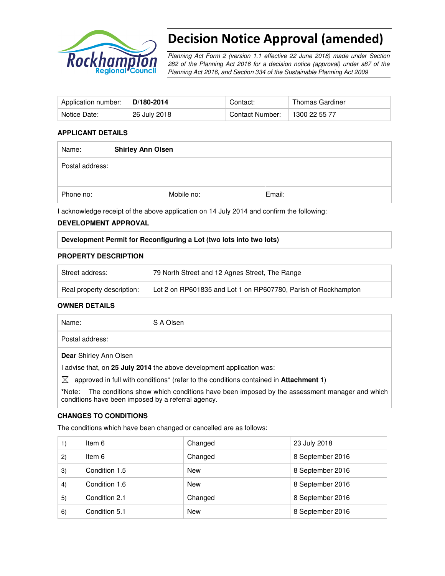

# Decision Notice Approval (amended)

Planning Act Form 2 (version 1.1 effective 22 June 2018) made under Section 282 of the Planning Act 2016 for a decision notice (approval) under s87 of the Planning Act 2016, and Section 334 of the Sustainable Planning Act 2009

| Application number: | D/180-2014   | Contact:        | Thomas Gardiner |
|---------------------|--------------|-----------------|-----------------|
| Notice Date:        | 26 July 2018 | Contact Number: | 1300 22 55 77   |

### **APPLICANT DETAILS**

| Name:           | <b>Shirley Ann Olsen</b> |        |  |
|-----------------|--------------------------|--------|--|
| Postal address: |                          |        |  |
| Phone no:       | Mobile no:               | Email: |  |

I acknowledge receipt of the above application on 14 July 2014 and confirm the following:

### **DEVELOPMENT APPROVAL**

## **Development Permit for Reconfiguring a Lot (two lots into two lots)**

### **PROPERTY DESCRIPTION**

| Street address:            | 79 North Street and 12 Agnes Street, The Range                 |
|----------------------------|----------------------------------------------------------------|
| Real property description: | Lot 2 on RP601835 and Lot 1 on RP607780, Parish of Rockhampton |

### **OWNER DETAILS**

| Name:                         | S A Olsen                                                                                                |
|-------------------------------|----------------------------------------------------------------------------------------------------------|
| Postal address:               |                                                                                                          |
| <b>Dear</b> Shirley Ann Olsen |                                                                                                          |
|                               | advise that, on 25 July 2014 the above development application was:                                      |
| $\boxtimes$                   | approved in full with conditions <sup>*</sup> (refer to the conditions contained in <b>Attachment 1)</b> |

**\***Note:The conditions show which conditions have been imposed by the assessment manager and which conditions have been imposed by a referral agency.

## **CHANGES TO CONDITIONS**

The conditions which have been changed or cancelled are as follows:

|    | Item 6        | Changed    | 23 July 2018     |
|----|---------------|------------|------------------|
| 2) | Item 6        | Changed    | 8 September 2016 |
| 3) | Condition 1.5 | New        | 8 September 2016 |
| 4) | Condition 1.6 | New        | 8 September 2016 |
| 5) | Condition 2.1 | Changed    | 8 September 2016 |
| 6) | Condition 5.1 | <b>New</b> | 8 September 2016 |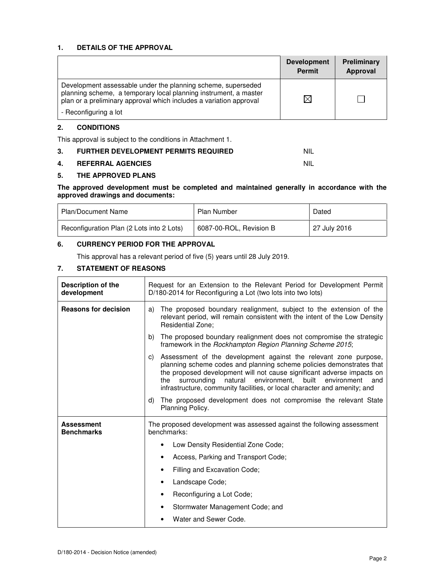### **1. DETAILS OF THE APPROVAL**

|                                                                                                                                                                                                        | <b>Development</b><br><b>Permit</b> | Preliminary<br>Approval |
|--------------------------------------------------------------------------------------------------------------------------------------------------------------------------------------------------------|-------------------------------------|-------------------------|
| Development assessable under the planning scheme, superseded<br>planning scheme, a temporary local planning instrument, a master<br>plan or a preliminary approval which includes a variation approval | M                                   |                         |
| - Reconfiguring a lot                                                                                                                                                                                  |                                     |                         |

### **2. CONDITIONS**

This approval is subject to the conditions in Attachment 1.

| 3. | <b>FURTHER DEVELOPMENT PERMITS REQUIRED</b> |  |
|----|---------------------------------------------|--|
|    |                                             |  |

### **4. REFERRAL AGENCIES** NIL

### **5. THE APPROVED PLANS**

**The approved development must be completed and maintained generally in accordance with the approved drawings and documents:** 

| Plan/Document Name                        | <b>Plan Number</b>      | Dated        |
|-------------------------------------------|-------------------------|--------------|
| Reconfiguration Plan (2 Lots into 2 Lots) | 6087-00-ROL, Revision B | 27 July 2016 |

# **6. CURRENCY PERIOD FOR THE APPROVAL**

This approval has a relevant period of five (5) years until 28 July 2019.

## **7. STATEMENT OF REASONS**

| Description of the<br>development      | Request for an Extension to the Relevant Period for Development Permit<br>D/180-2014 for Reconfiguring a Lot (two lots into two lots)                                                                                                                                                                                                                                              |  |
|----------------------------------------|------------------------------------------------------------------------------------------------------------------------------------------------------------------------------------------------------------------------------------------------------------------------------------------------------------------------------------------------------------------------------------|--|
| <b>Reasons for decision</b>            | The proposed boundary realignment, subject to the extension of the<br>a)<br>relevant period, will remain consistent with the intent of the Low Density<br><b>Residential Zone:</b>                                                                                                                                                                                                 |  |
|                                        | The proposed boundary realignment does not compromise the strategic<br>b)<br>framework in the Rockhampton Region Planning Scheme 2015;                                                                                                                                                                                                                                             |  |
|                                        | Assessment of the development against the relevant zone purpose,<br>C)<br>planning scheme codes and planning scheme policies demonstrates that<br>the proposed development will not cause significant adverse impacts on<br>natural environment,<br>built<br>environment<br>surroundina<br>the<br>and<br>infrastructure, community facilities, or local character and amenity; and |  |
|                                        | d)<br>The proposed development does not compromise the relevant State<br>Planning Policy.                                                                                                                                                                                                                                                                                          |  |
| <b>Assessment</b><br><b>Benchmarks</b> | The proposed development was assessed against the following assessment<br>benchmarks:                                                                                                                                                                                                                                                                                              |  |
|                                        | Low Density Residential Zone Code;<br>٠                                                                                                                                                                                                                                                                                                                                            |  |
|                                        | Access, Parking and Transport Code;<br>٠                                                                                                                                                                                                                                                                                                                                           |  |
|                                        | Filling and Excavation Code;                                                                                                                                                                                                                                                                                                                                                       |  |
|                                        | Landscape Code;<br>$\bullet$                                                                                                                                                                                                                                                                                                                                                       |  |
|                                        | Reconfiguring a Lot Code;<br>$\bullet$                                                                                                                                                                                                                                                                                                                                             |  |
|                                        | Stormwater Management Code; and<br>٠                                                                                                                                                                                                                                                                                                                                               |  |
|                                        | Water and Sewer Code.                                                                                                                                                                                                                                                                                                                                                              |  |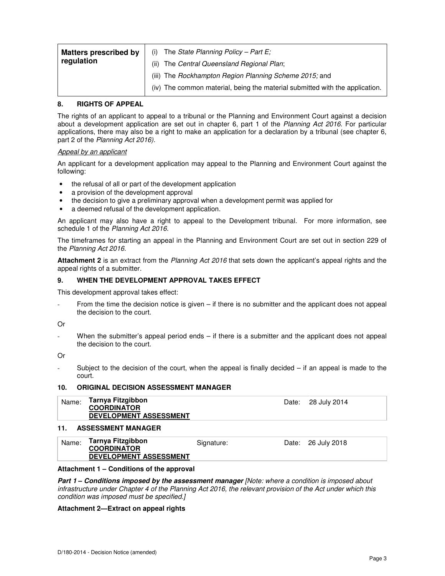| <b>Matters prescribed by</b> | The State Planning Policy - Part $E_i$<br>(i)                                |
|------------------------------|------------------------------------------------------------------------------|
| regulation                   | The Central Queensland Regional Plan;<br>(ii)                                |
|                              | (iii) The Rockhampton Region Planning Scheme 2015; and                       |
|                              | (iv) The common material, being the material submitted with the application. |

### **8. RIGHTS OF APPEAL**

The rights of an applicant to appeal to a tribunal or the Planning and Environment Court against a decision about a development application are set out in chapter 6, part 1 of the Planning Act 2016. For particular applications, there may also be a right to make an application for a declaration by a tribunal (see chapter 6, part 2 of the Planning Act 2016).

### Appeal by an applicant

An applicant for a development application may appeal to the Planning and Environment Court against the following:

- the refusal of all or part of the development application
- a provision of the development approval
- the decision to give a preliminary approval when a development permit was applied for
- a deemed refusal of the development application.

An applicant may also have a right to appeal to the Development tribunal. For more information, see schedule 1 of the Planning Act 2016.

The timeframes for starting an appeal in the Planning and Environment Court are set out in section 229 of the Planning Act 2016.

**Attachment 2** is an extract from the Planning Act 2016 that sets down the applicant's appeal rights and the appeal rights of a submitter.

### **9. WHEN THE DEVELOPMENT APPROVAL TAKES EFFECT**

This development approval takes effect:

From the time the decision notice is given  $-$  if there is no submitter and the applicant does not appeal the decision to the court.

### Or

When the submitter's appeal period ends  $-$  if there is a submitter and the applicant does not appeal the decision to the court.

Or

Subject to the decision of the court, when the appeal is finally decided  $-$  if an appeal is made to the court.

### **10. ORIGINAL DECISION ASSESSMENT MANAGER**

| Name: | Tarnya Fitzgibbon             | Date: | 28 July 2014 |
|-------|-------------------------------|-------|--------------|
|       | <b>COORDINATOR</b>            |       |              |
|       | <b>DEVELOPMENT ASSESSMENT</b> |       |              |

### **11. ASSESSMENT MANAGER**

| Name: | Tarnya Fitzgibbon<br><b>COORDINATOR</b> | Signature: | Date: 26 July 2018 |
|-------|-----------------------------------------|------------|--------------------|
|       | <b>DEVELOPMENT ASSESSMENT</b>           |            |                    |

### **Attachment 1 – Conditions of the approval**

**Part 1 – Conditions imposed by the assessment manager** *[Note: where a condition is imposed about* infrastructure under Chapter 4 of the Planning Act 2016, the relevant provision of the Act under which this condition was imposed must be specified.]

### **Attachment 2—Extract on appeal rights**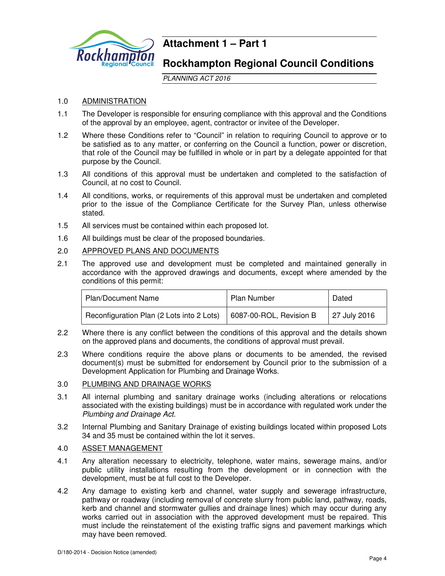

# **Attachment 1 – Part 1**

# **Rockhampton Regional Council Conditions**

PLANNING ACT 2016

# 1.0 ADMINISTRATION

- 1.1 The Developer is responsible for ensuring compliance with this approval and the Conditions of the approval by an employee, agent, contractor or invitee of the Developer.
- 1.2 Where these Conditions refer to "Council" in relation to requiring Council to approve or to be satisfied as to any matter, or conferring on the Council a function, power or discretion, that role of the Council may be fulfilled in whole or in part by a delegate appointed for that purpose by the Council.
- 1.3 All conditions of this approval must be undertaken and completed to the satisfaction of Council, at no cost to Council.
- 1.4 All conditions, works, or requirements of this approval must be undertaken and completed prior to the issue of the Compliance Certificate for the Survey Plan, unless otherwise stated.
- 1.5 All services must be contained within each proposed lot.
- 1.6 All buildings must be clear of the proposed boundaries.
- 2.0 APPROVED PLANS AND DOCUMENTS
- 2.1 The approved use and development must be completed and maintained generally in accordance with the approved drawings and documents, except where amended by the conditions of this permit:

| <b>Plan/Document Name</b>                 | Plan Number             | Dated        |
|-------------------------------------------|-------------------------|--------------|
| Reconfiguration Plan (2 Lots into 2 Lots) | 6087-00-ROL, Revision B | 27 July 2016 |

- 2.2 Where there is any conflict between the conditions of this approval and the details shown on the approved plans and documents, the conditions of approval must prevail.
- 2.3 Where conditions require the above plans or documents to be amended, the revised document(s) must be submitted for endorsement by Council prior to the submission of a Development Application for Plumbing and Drainage Works.

# 3.0 PLUMBING AND DRAINAGE WORKS

- 3.1 All internal plumbing and sanitary drainage works (including alterations or relocations associated with the existing buildings) must be in accordance with regulated work under the Plumbing and Drainage Act.
- 3.2 Internal Plumbing and Sanitary Drainage of existing buildings located within proposed Lots 34 and 35 must be contained within the lot it serves.

# 4.0 ASSET MANAGEMENT

- 4.1 Any alteration necessary to electricity, telephone, water mains, sewerage mains, and/or public utility installations resulting from the development or in connection with the development, must be at full cost to the Developer.
- 4.2 Any damage to existing kerb and channel, water supply and sewerage infrastructure, pathway or roadway (including removal of concrete slurry from public land, pathway, roads, kerb and channel and stormwater gullies and drainage lines) which may occur during any works carried out in association with the approved development must be repaired. This must include the reinstatement of the existing traffic signs and pavement markings which may have been removed.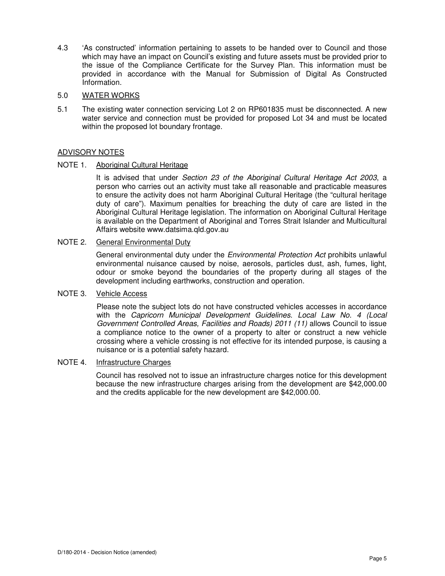4.3 'As constructed' information pertaining to assets to be handed over to Council and those which may have an impact on Council's existing and future assets must be provided prior to the issue of the Compliance Certificate for the Survey Plan. This information must be provided in accordance with the Manual for Submission of Digital As Constructed Information.

### 5.0 WATER WORKS

5.1 The existing water connection servicing Lot 2 on RP601835 must be disconnected. A new water service and connection must be provided for proposed Lot 34 and must be located within the proposed lot boundary frontage.

# ADVISORY NOTES

NOTE 1. Aboriginal Cultural Heritage

It is advised that under Section 23 of the Aboriginal Cultural Heritage Act 2003, a person who carries out an activity must take all reasonable and practicable measures to ensure the activity does not harm Aboriginal Cultural Heritage (the "cultural heritage duty of care"). Maximum penalties for breaching the duty of care are listed in the Aboriginal Cultural Heritage legislation. The information on Aboriginal Cultural Heritage is available on the Department of Aboriginal and Torres Strait Islander and Multicultural Affairs website www.datsima.qld.gov.au

## NOTE 2. General Environmental Duty

General environmental duty under the *Environmental Protection Act* prohibits unlawful environmental nuisance caused by noise, aerosols, particles dust, ash, fumes, light, odour or smoke beyond the boundaries of the property during all stages of the development including earthworks, construction and operation.

### NOTE 3. Vehicle Access

Please note the subject lots do not have constructed vehicles accesses in accordance with the Capricorn Municipal Development Guidelines. Local Law No. 4 (Local Government Controlled Areas, Facilities and Roads) 2011 (11) allows Council to issue a compliance notice to the owner of a property to alter or construct a new vehicle crossing where a vehicle crossing is not effective for its intended purpose, is causing a nuisance or is a potential safety hazard.

### NOTE 4. Infrastructure Charges

Council has resolved not to issue an infrastructure charges notice for this development because the new infrastructure charges arising from the development are \$42,000.00 and the credits applicable for the new development are \$42,000.00.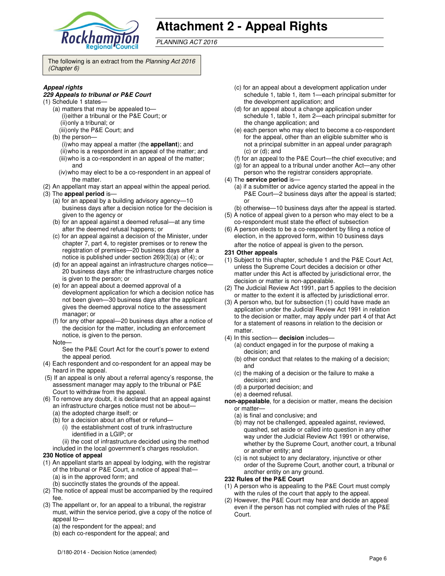

# **Attachment 2 - Appeal Rights**

PLANNING ACT 2016

The following is an extract from the Planning Act 2016 (Chapter 6)

### **Appeal rights**

#### **229 Appeals to tribunal or P&E Court**

- (1) Schedule 1 states—
	- (a) matters that may be appealed to— (i) either a tribunal or the P&E Court; or (ii) only a tribunal; or (iii) only the P&E Court; and
	- (b) the person—
		- (i) who may appeal a matter (the **appellant**); and (ii) who is a respondent in an appeal of the matter; and (iii) who is a co-respondent in an appeal of the matter;
		- and (iv) who may elect to be a co-respondent in an appeal of the matter.
- (2) An appellant may start an appeal within the appeal period.
- (3) The **appeal period** is—
	- (a) for an appeal by a building advisory agency—10 business days after a decision notice for the decision is given to the agency or
	- (b) for an appeal against a deemed refusal—at any time after the deemed refusal happens; or
	- (c) for an appeal against a decision of the Minister, under chapter 7, part 4, to register premises or to renew the registration of premises—20 business days after a notice is published under section 269(3)(a) or (4); or
	- (d) for an appeal against an infrastructure charges notice— 20 business days after the infrastructure charges notice is given to the person; or
	- (e) for an appeal about a deemed approval of a development application for which a decision notice has not been given—30 business days after the applicant gives the deemed approval notice to the assessment manager; or
	- (f) for any other appeal—20 business days after a notice of the decision for the matter, including an enforcement notice, is given to the person.
	- Note—

See the P&E Court Act for the court's power to extend the appeal period.

- (4) Each respondent and co-respondent for an appeal may be heard in the appeal.
- (5) If an appeal is only about a referral agency's response, the assessment manager may apply to the tribunal or P&E Court to withdraw from the appeal.
- (6) To remove any doubt, it is declared that an appeal against an infrastructure charges notice must not be about—
	- (a) the adopted charge itself; or
	- (b) for a decision about an offset or refund— (i) the establishment cost of trunk infrastructure identified in a LGIP; or
	- (ii) the cost of infrastructure decided using the method
	- included in the local government's charges resolution.

### **230 Notice of appeal**

- (1) An appellant starts an appeal by lodging, with the registrar of the tribunal or P&E Court, a notice of appeal that— (a) is in the approved form; and
	- (b) succinctly states the grounds of the appeal.
- (2) The notice of appeal must be accompanied by the required fee.
- (3) The appellant or, for an appeal to a tribunal, the registrar must, within the service period, give a copy of the notice of appeal to—
	- (a) the respondent for the appeal; and
	- (b) each co-respondent for the appeal; and
- (c) for an appeal about a development application under schedule 1, table 1, item 1—each principal submitter for the development application; and
- (d) for an appeal about a change application under schedule 1, table 1, item 2—each principal submitter for the change application; and
- (e) each person who may elect to become a co-respondent for the appeal, other than an eligible submitter who is not a principal submitter in an appeal under paragraph  $(c)$  or  $(d)$ ; and
- (f) for an appeal to the P&E Court—the chief executive; and
- (g) for an appeal to a tribunal under another Act—any other
- person who the registrar considers appropriate. (4) The **service period** is—
	- (a) if a submitter or advice agency started the appeal in the P&E Court—2 business days after the appeal is started; or
	- (b) otherwise—10 business days after the appeal is started.
- (5) A notice of appeal given to a person who may elect to be a co-respondent must state the effect of subsection
- (6) A person elects to be a co-respondent by filing a notice of election, in the approved form, within 10 business days after the notice of appeal is given to the person*.*
- **231 Other appeals**
- (1) Subject to this chapter, schedule 1 and the P&E Court Act, unless the Supreme Court decides a decision or other matter under this Act is affected by jurisdictional error, the decision or matter is non-appealable.
- (2) The Judicial Review Act 1991, part 5 applies to the decision or matter to the extent it is affected by jurisdictional error.
- (3) A person who, but for subsection (1) could have made an application under the Judicial Review Act 1991 in relation to the decision or matter, may apply under part 4 of that Act for a statement of reasons in relation to the decision or matter.
- (4) In this section— **decision** includes—
	- (a) conduct engaged in for the purpose of making a decision; and
	- (b) other conduct that relates to the making of a decision; and
	- (c) the making of a decision or the failure to make a decision; and
	- (d) a purported decision; and
	- (e) a deemed refusal.
- **non-appealable**, for a decision or matter, means the decision or matter—
	- (a) is final and conclusive; and
	- (b) may not be challenged, appealed against, reviewed, quashed, set aside or called into question in any other way under the Judicial Review Act 1991 or otherwise, whether by the Supreme Court, another court, a tribunal or another entity; and
	- (c) is not subject to any declaratory, injunctive or other order of the Supreme Court, another court, a tribunal or another entity on any ground.

#### **232 Rules of the P&E Court**

- (1) A person who is appealing to the P&E Court must comply with the rules of the court that apply to the appeal.
- (2) However, the P&E Court may hear and decide an appeal even if the person has not complied with rules of the P&E Court.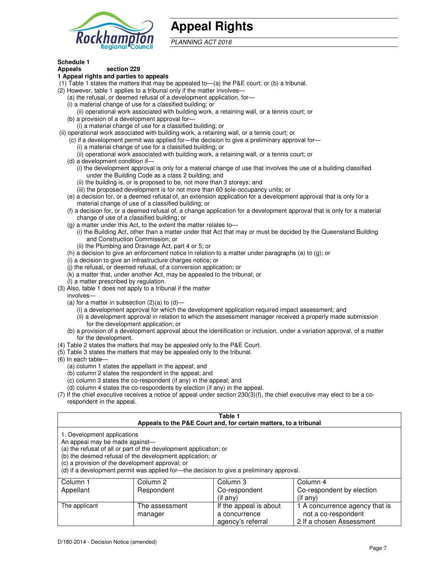

# **Appeal Rights**

PLANNING ACT 2016

# **Schedule 1**

#### **Appeals section 229 1 Appeal rights and parties to appeals**

- (1) Table 1 states the matters that may be appealed to—(a) the P&E court; or (b) a tribunal.
- (2) However, table 1 applies to a tribunal only if the matter involves—
	- (a) the refusal, or deemed refusal of a development application, for—
	- (i) a material change of use for a classified building; or
	- (ii) operational work associated with building work, a retaining wall, or a tennis court; or (b) a provision of a development approval for—
	- (i) a material change of use for a classified building; or
- (ii) operational work associated with building work, a retaining wall, or a tennis court; or
	- (c) if a development permit was applied for—the decision to give a preliminary approval for—
		- (i) a material change of use for a classified building; or
		- (ii) operational work associated with building work, a retaining wall, or a tennis court; or
	- (d) a development condition if—
		- (i) the development approval is only for a material change of use that involves the use of a building classified under the Building Code as a class 2 building; and
		- (ii) the building is, or is proposed to be, not more than 3 storeys; and
		- (iii) the proposed development is for not more than 60 sole-occupancy units; or
	- (e) a decision for, or a deemed refusal of, an extension application for a development approval that is only for a material change of use of a classified building; or
	- (f) a decision for, or a deemed refusal of, a change application for a development approval that is only for a material change of use of a classified building; or
	- (g) a matter under this Act, to the extent the matter relates to—
		- (i) the Building Act, other than a matter under that Act that may or must be decided by the Queensland Building and Construction Commission; or
		- (ii) the Plumbing and Drainage Act, part 4 or 5; or
	- (h) a decision to give an enforcement notice in relation to a matter under paragraphs (a) to (g); or
	- (i) a decision to give an infrastructure charges notice; or
	- (j) the refusal, or deemed refusal, of a conversion application; or
	- (k) a matter that, under another Act, may be appealed to the tribunal; or
	- (l) a matter prescribed by regulation.
- (3) Also, table 1 does not apply to a tribunal if the matter
- involves—
	- (a) for a matter in subsection  $(2)(a)$  to  $(d)$ 
		- (i) a development approval for which the development application required impact assessment; and
		- (ii) a development approval in relation to which the assessment manager received a properly made submission for the development application; or
	- (b) a provision of a development approval about the identification or inclusion, under a variation approval, of a matter for the development.
- (4) Table 2 states the matters that may be appealed only to the P&E Court.
- (5) Table 3 states the matters that may be appealed only to the tribunal.
- (6) In each table—
	- (a) column 1 states the appellant in the appeal; and
	- (b) column 2 states the respondent in the appeal; and
	- (c) column 3 states the co-respondent (if any) in the appeal; and
	- (d) column 4 states the co-respondents by election (if any) in the appeal.
- (7) If the chief executive receives a notice of appeal under section 230(3)(f), the chief executive may elect to be a corespondent in the appeal.

| Table 1<br>Appeals to the P&E Court and, for certain matters, to a tribunal                                                                                                                                                                                                                                                                    |                     |                        |                                |
|------------------------------------------------------------------------------------------------------------------------------------------------------------------------------------------------------------------------------------------------------------------------------------------------------------------------------------------------|---------------------|------------------------|--------------------------------|
| 1. Development applications<br>An appeal may be made against-<br>(a) the refusal of all or part of the development application; or<br>(b) the deemed refusal of the development application; or<br>(c) a provision of the development approval; or<br>(d) if a development permit was applied for-the decision to give a preliminary approval. |                     |                        |                                |
| Column 1                                                                                                                                                                                                                                                                                                                                       | Column <sub>2</sub> | Column 3               | Column 4                       |
| Appellant                                                                                                                                                                                                                                                                                                                                      | Respondent          | Co-respondent          | Co-respondent by election      |
|                                                                                                                                                                                                                                                                                                                                                |                     | (if any)               | $(if$ any)                     |
| The applicant                                                                                                                                                                                                                                                                                                                                  | The assessment      | If the appeal is about | 1 A concurrence agency that is |
|                                                                                                                                                                                                                                                                                                                                                | manager             | a concurrence          | not a co-respondent            |

agency's referral

2 If a chosen Assessment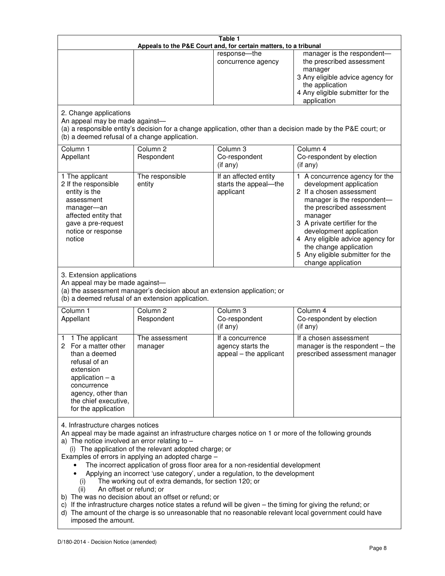| Table 1<br>Appeals to the P&E Court and, for certain matters, to a tribunal                                                                                                                                                                                                                                                                                                                                                                                                                                                                                                                                                                                                                                                                                                                                                                                                                 |                                   |                                                                 |                                                                                                                                                                                                                                                                                                                                                 |
|---------------------------------------------------------------------------------------------------------------------------------------------------------------------------------------------------------------------------------------------------------------------------------------------------------------------------------------------------------------------------------------------------------------------------------------------------------------------------------------------------------------------------------------------------------------------------------------------------------------------------------------------------------------------------------------------------------------------------------------------------------------------------------------------------------------------------------------------------------------------------------------------|-----------------------------------|-----------------------------------------------------------------|-------------------------------------------------------------------------------------------------------------------------------------------------------------------------------------------------------------------------------------------------------------------------------------------------------------------------------------------------|
|                                                                                                                                                                                                                                                                                                                                                                                                                                                                                                                                                                                                                                                                                                                                                                                                                                                                                             |                                   | response-the<br>concurrence agency                              | manager is the respondent-<br>the prescribed assessment<br>manager<br>3 Any eligible advice agency for<br>the application<br>4 Any eligible submitter for the<br>application                                                                                                                                                                    |
| 2. Change applications<br>An appeal may be made against-<br>(b) a deemed refusal of a change application.                                                                                                                                                                                                                                                                                                                                                                                                                                                                                                                                                                                                                                                                                                                                                                                   |                                   |                                                                 | (a) a responsible entity's decision for a change application, other than a decision made by the P&E court; or                                                                                                                                                                                                                                   |
| Column 1<br>Appellant                                                                                                                                                                                                                                                                                                                                                                                                                                                                                                                                                                                                                                                                                                                                                                                                                                                                       | Column <sub>2</sub><br>Respondent | Column 3<br>Co-respondent<br>(if any)                           | Column 4<br>Co-respondent by election<br>(if any)                                                                                                                                                                                                                                                                                               |
| 1 The applicant<br>2 If the responsible<br>entity is the<br>assessment<br>manager-an<br>affected entity that<br>gave a pre-request<br>notice or response<br>notice                                                                                                                                                                                                                                                                                                                                                                                                                                                                                                                                                                                                                                                                                                                          | The responsible<br>entity         | If an affected entity<br>starts the appeal-the<br>applicant     | 1 A concurrence agency for the<br>development application<br>2 If a chosen assessment<br>manager is the respondent-<br>the prescribed assessment<br>manager<br>3 A private certifier for the<br>development application<br>4 Any eligible advice agency for<br>the change application<br>5 Any eligible submitter for the<br>change application |
| 3. Extension applications<br>An appeal may be made against-<br>(a) the assessment manager's decision about an extension application; or<br>(b) a deemed refusal of an extension application.<br>Column 1<br>Column <sub>2</sub><br>Column 3<br>Column 4                                                                                                                                                                                                                                                                                                                                                                                                                                                                                                                                                                                                                                     |                                   |                                                                 |                                                                                                                                                                                                                                                                                                                                                 |
| Appellant                                                                                                                                                                                                                                                                                                                                                                                                                                                                                                                                                                                                                                                                                                                                                                                                                                                                                   | Respondent                        | Co-respondent<br>(if any)                                       | Co-respondent by election<br>(if any)                                                                                                                                                                                                                                                                                                           |
| 1 The applicant<br>1<br>2<br>For a matter other<br>than a deemed<br>refusal of an<br>extension<br>application $-$ a<br>concurrence<br>agency, other than<br>the chief executive,<br>for the application                                                                                                                                                                                                                                                                                                                                                                                                                                                                                                                                                                                                                                                                                     | The assessment<br>manager         | If a concurrence<br>agency starts the<br>appeal – the applicant | If a chosen assessment<br>manager is the respondent - the<br>prescribed assessment manager                                                                                                                                                                                                                                                      |
| 4. Infrastructure charges notices<br>An appeal may be made against an infrastructure charges notice on 1 or more of the following grounds<br>a) The notice involved an error relating to $-$<br>(i) The application of the relevant adopted charge; or<br>Examples of errors in applying an adopted charge -<br>The incorrect application of gross floor area for a non-residential development<br>Applying an incorrect 'use category', under a regulation, to the development<br>The working out of extra demands, for section 120; or<br>(i)<br>An offset or refund; or<br>(ii)<br>b) The was no decision about an offset or refund; or<br>c) If the infrastructure charges notice states a refund will be given - the timing for giving the refund; or<br>d) The amount of the charge is so unreasonable that no reasonable relevant local government could have<br>imposed the amount. |                                   |                                                                 |                                                                                                                                                                                                                                                                                                                                                 |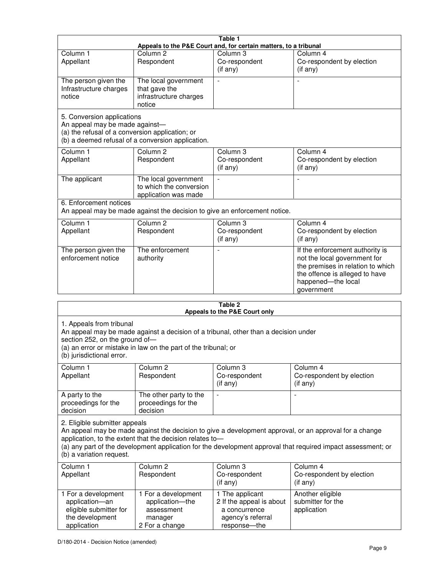|                                                                                                                                                                                                                                                  |                                                                                   | Table 1<br>Appeals to the P&E Court and, for certain matters, to a tribunal                       |                                                                                                                                                                                                                        |
|--------------------------------------------------------------------------------------------------------------------------------------------------------------------------------------------------------------------------------------------------|-----------------------------------------------------------------------------------|---------------------------------------------------------------------------------------------------|------------------------------------------------------------------------------------------------------------------------------------------------------------------------------------------------------------------------|
| Column 1<br>Appellant                                                                                                                                                                                                                            | Column <sub>2</sub><br>Respondent                                                 | Column <sub>3</sub><br>Co-respondent<br>(if any)                                                  | Column 4<br>Co-respondent by election<br>(if any)                                                                                                                                                                      |
| The person given the<br>Infrastructure charges<br>notice                                                                                                                                                                                         | The local government<br>that gave the<br>infrastructure charges<br>notice         |                                                                                                   |                                                                                                                                                                                                                        |
| 5. Conversion applications<br>An appeal may be made against-<br>(a) the refusal of a conversion application; or                                                                                                                                  | (b) a deemed refusal of a conversion application.                                 |                                                                                                   |                                                                                                                                                                                                                        |
| Column 1<br>Appellant                                                                                                                                                                                                                            | Column <sub>2</sub><br>Respondent                                                 | Column 3<br>Co-respondent<br>(if any)                                                             | Column 4<br>Co-respondent by election<br>(if any)                                                                                                                                                                      |
| The applicant                                                                                                                                                                                                                                    | The local government<br>to which the conversion<br>application was made           |                                                                                                   | $\overline{a}$                                                                                                                                                                                                         |
| 6. Enforcement notices                                                                                                                                                                                                                           | An appeal may be made against the decision to give an enforcement notice.         |                                                                                                   |                                                                                                                                                                                                                        |
| Column 1<br>Appellant                                                                                                                                                                                                                            | Column $2$<br>Respondent                                                          | Column 3<br>Co-respondent<br>(if any)                                                             | Column 4<br>Co-respondent by election<br>(if any)                                                                                                                                                                      |
| The person given the<br>enforcement notice                                                                                                                                                                                                       | The enforcement<br>authority                                                      |                                                                                                   | If the enforcement authority is<br>not the local government for<br>the premises in relation to which<br>the offence is alleged to have<br>happened-the local<br>government                                             |
|                                                                                                                                                                                                                                                  |                                                                                   | Table 2                                                                                           |                                                                                                                                                                                                                        |
|                                                                                                                                                                                                                                                  |                                                                                   | Appeals to the P&E Court only                                                                     |                                                                                                                                                                                                                        |
| 1. Appeals from tribunal<br>An appeal may be made against a decision of a tribunal, other than a decision under<br>section 252, on the ground of-<br>(a) an error or mistake in law on the part of the tribunal; or<br>(b) jurisdictional error. |                                                                                   |                                                                                                   |                                                                                                                                                                                                                        |
| Column 1<br>Appellant                                                                                                                                                                                                                            | Column <sub>2</sub><br>Respondent                                                 | Column <sub>3</sub><br>Co-respondent<br>(if any)                                                  | Column 4<br>Co-respondent by election<br>(if any)                                                                                                                                                                      |
| A party to the<br>proceedings for the<br>decision                                                                                                                                                                                                | The other party to the<br>proceedings for the<br>decision                         |                                                                                                   |                                                                                                                                                                                                                        |
| 2. Eligible submitter appeals<br>(b) a variation request.                                                                                                                                                                                        | application, to the extent that the decision relates to-                          |                                                                                                   | An appeal may be made against the decision to give a development approval, or an approval for a change<br>(a) any part of the development application for the development approval that required impact assessment; or |
| Column 1<br>Appellant                                                                                                                                                                                                                            | Column 2<br>Respondent                                                            | Column 3<br>Co-respondent<br>(if any)                                                             | Column 4<br>Co-respondent by election<br>(if any)                                                                                                                                                                      |
| 1 For a development<br>application-an<br>eligible submitter for<br>the development<br>application                                                                                                                                                | 1 For a development<br>application-the<br>assessment<br>manager<br>2 For a change | 1 The applicant<br>2 If the appeal is about<br>a concurrence<br>agency's referral<br>response-the | Another eligible<br>submitter for the<br>application                                                                                                                                                                   |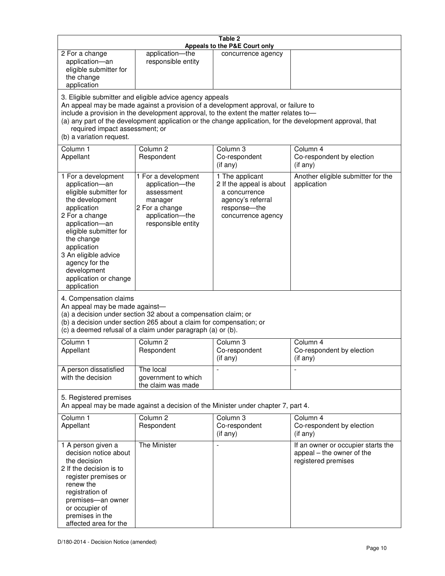| Table 2<br>Appeals to the P&E Court only                                                                                                                                                                                                                                                                                                                                                                           |                                                                                                                            |                                                                                                                         |                                                                                        |
|--------------------------------------------------------------------------------------------------------------------------------------------------------------------------------------------------------------------------------------------------------------------------------------------------------------------------------------------------------------------------------------------------------------------|----------------------------------------------------------------------------------------------------------------------------|-------------------------------------------------------------------------------------------------------------------------|----------------------------------------------------------------------------------------|
| 2 For a change<br>application-an<br>eligible submitter for<br>the change<br>application                                                                                                                                                                                                                                                                                                                            | application-the<br>responsible entity                                                                                      | concurrence agency                                                                                                      |                                                                                        |
| 3. Eligible submitter and eligible advice agency appeals<br>An appeal may be made against a provision of a development approval, or failure to<br>include a provision in the development approval, to the extent the matter relates to-<br>(a) any part of the development application or the change application, for the development approval, that<br>required impact assessment; or<br>(b) a variation request. |                                                                                                                            |                                                                                                                         |                                                                                        |
| Column 1<br>Appellant                                                                                                                                                                                                                                                                                                                                                                                              | Column <sub>2</sub><br>Respondent                                                                                          | Column 3<br>Co-respondent<br>(if any)                                                                                   | Column 4<br>Co-respondent by election<br>(if any)                                      |
| 1 For a development<br>application-an<br>eligible submitter for<br>the development<br>application<br>2 For a change<br>application-an<br>eligible submitter for<br>the change<br>application<br>3 An eligible advice<br>agency for the<br>development<br>application or change<br>application                                                                                                                      | 1 For a development<br>application-the<br>assessment<br>manager<br>2 For a change<br>application-the<br>responsible entity | 1 The applicant<br>2 If the appeal is about<br>a concurrence<br>agency's referral<br>response-the<br>concurrence agency | Another eligible submitter for the<br>application                                      |
| 4. Compensation claims<br>An appeal may be made against-<br>(a) a decision under section 32 about a compensation claim; or<br>(b) a decision under section 265 about a claim for compensation; or<br>(c) a deemed refusal of a claim under paragraph (a) or (b).                                                                                                                                                   |                                                                                                                            |                                                                                                                         |                                                                                        |
| Column 1<br>Appellant                                                                                                                                                                                                                                                                                                                                                                                              | Column <sub>2</sub><br>Respondent                                                                                          | Column 3<br>Co-respondent<br>(if any)                                                                                   | Column 4<br>Co-respondent by election<br>(if any)                                      |
| A person dissatisfied<br>with the decision                                                                                                                                                                                                                                                                                                                                                                         | The local<br>government to which<br>the claim was made                                                                     |                                                                                                                         |                                                                                        |
| 5. Registered premises<br>An appeal may be made against a decision of the Minister under chapter 7, part 4.                                                                                                                                                                                                                                                                                                        |                                                                                                                            |                                                                                                                         |                                                                                        |
| Column 1<br>Appellant                                                                                                                                                                                                                                                                                                                                                                                              | Column <sub>2</sub><br>Respondent                                                                                          | Column 3<br>Co-respondent<br>(if any)                                                                                   | Column 4<br>Co-respondent by election<br>(if any)                                      |
| 1 A person given a<br>decision notice about<br>the decision<br>2 If the decision is to<br>register premises or<br>renew the<br>registration of<br>premises-an owner<br>or occupier of<br>premises in the<br>affected area for the                                                                                                                                                                                  | The Minister                                                                                                               |                                                                                                                         | If an owner or occupier starts the<br>appeal – the owner of the<br>registered premises |